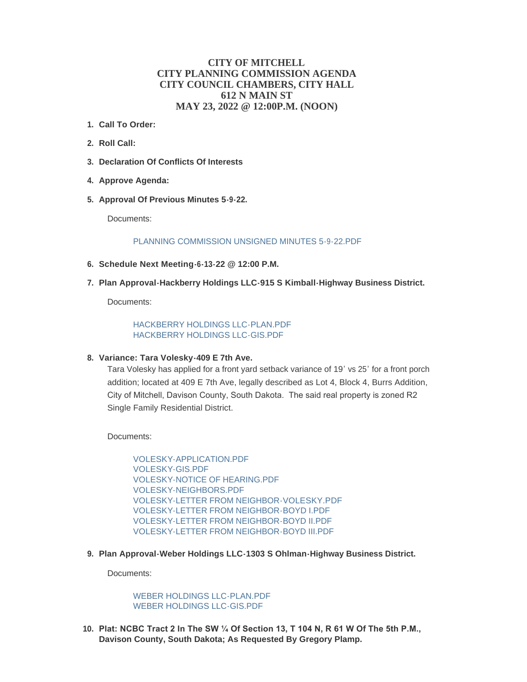# **CITY OF MITCHELL CITY PLANNING COMMISSION AGENDA CITY COUNCIL CHAMBERS, CITY HALL 612 N MAIN ST MAY 23, 2022 @ 12:00P.M. (NOON)**

- **Call To Order: 1.**
- **Roll Call: 2.**
- **Declaration Of Conflicts Of Interests 3.**
- **Approve Agenda: 4.**
- **Approval Of Previous Minutes 5-9-22. 5.**

Documents:

#### [PLANNING COMMISSION UNSIGNED MINUTES 5-9-22.PDF](https://www.cityofmitchell.org/AgendaCenter/ViewFile/Item/13829?fileID=19716)

- **Schedule Next Meeting-6-13-22 @ 12:00 P.M. 6.**
- **Plan Approval-Hackberry Holdings LLC-915 S Kimball-Highway Business District. 7.**

Documents:

[HACKBERRY HOLDINGS LLC-PLAN.PDF](https://www.cityofmitchell.org/AgendaCenter/ViewFile/Item/13830?fileID=19717) [HACKBERRY HOLDINGS LLC-GIS.PDF](https://www.cityofmitchell.org/AgendaCenter/ViewFile/Item/13830?fileID=19718)

## **Variance: Tara Volesky-409 E 7th Ave. 8.**

Tara Volesky has applied for a front yard setback variance of 19' vs 25' for a front porch addition; located at 409 E 7th Ave, legally described as Lot 4, Block 4, Burrs Addition, City of Mitchell, Davison County, South Dakota. The said real property is zoned R2 Single Family Residential District.

Documents:

[VOLESKY-APPLICATION.PDF](https://www.cityofmitchell.org/AgendaCenter/ViewFile/Item/13832?fileID=19726) [VOLESKY-GIS.PDF](https://www.cityofmitchell.org/AgendaCenter/ViewFile/Item/13832?fileID=19727) [VOLESKY-NOTICE OF HEARING.PDF](https://www.cityofmitchell.org/AgendaCenter/ViewFile/Item/13832?fileID=19728) [VOLESKY-NEIGHBORS.PDF](https://www.cityofmitchell.org/AgendaCenter/ViewFile/Item/13832?fileID=19729) [VOLESKY-LETTER FROM NEIGHBOR-VOLESKY.PDF](https://www.cityofmitchell.org/AgendaCenter/ViewFile/Item/13832?fileID=19730) [VOLESKY-LETTER FROM NEIGHBOR-BOYD I.PDF](https://www.cityofmitchell.org/AgendaCenter/ViewFile/Item/13832?fileID=19731) [VOLESKY-LETTER FROM NEIGHBOR-BOYD II.PDF](https://www.cityofmitchell.org/AgendaCenter/ViewFile/Item/13832?fileID=19732) [VOLESKY-LETTER FROM NEIGHBOR-BOYD III.PDF](https://www.cityofmitchell.org/AgendaCenter/ViewFile/Item/13832?fileID=19733)

**Plan Approval-Weber Holdings LLC-1303 S Ohlman-Highway Business District. 9.**

Documents:

[WEBER HOLDINGS LLC-PLAN.PDF](https://www.cityofmitchell.org/AgendaCenter/ViewFile/Item/13831?fileID=19736) [WEBER HOLDINGS LLC-GIS.PDF](https://www.cityofmitchell.org/AgendaCenter/ViewFile/Item/13831?fileID=19737)

**Plat: NCBC Tract 2 In The SW ¼ Of Section 13, T 104 N, R 61 W Of The 5th P.M., 10. Davison County, South Dakota; As Requested By Gregory Plamp.**